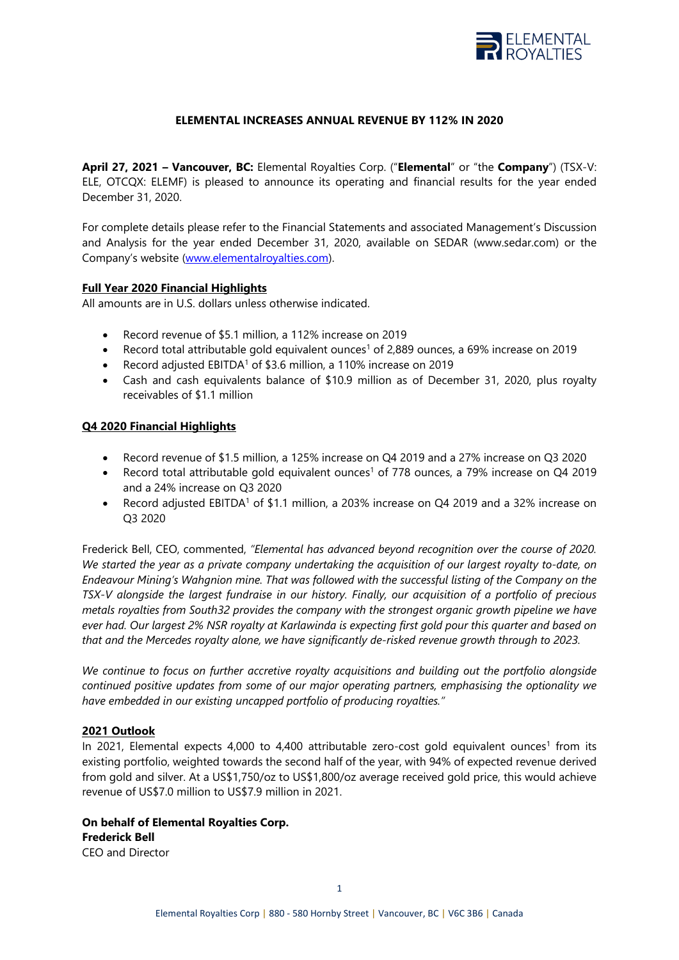

## **ELEMENTAL INCREASES ANNUAL REVENUE BY 112% IN 2020**

**April 27, 2021 – Vancouver, BC:** Elemental Royalties Corp. ("**Elemental**" or "the **Company**") (TSX-V: ELE, OTCQX: ELEMF) is pleased to announce its operating and financial results for the year ended December 31, 2020.

For complete details please refer to the Financial Statements and associated Management's Discussion and Analysis for the year ended December 31, 2020, available on SEDAR (www.sedar.com) or the Company's website [\(www.elementalroyalties.com\)](http://www.elementalroyalties.com/).

# **Full Year 2020 Financial Highlights**

All amounts are in U.S. dollars unless otherwise indicated.

- Record revenue of \$5.1 million, a 112% increase on 2019
- Record total attributable gold equivalent ounces<sup>1</sup> of 2,889 ounces, a 69% increase on 2019
- Record adjusted EBITDA<sup>1</sup> of \$3.6 million, a 110% increase on 2019
- Cash and cash equivalents balance of \$10.9 million as of December 31, 2020, plus royalty receivables of \$1.1 million

# **Q4 2020 Financial Highlights**

- Record revenue of \$1.5 million, a 125% increase on Q4 2019 and a 27% increase on Q3 2020
- Record total attributable gold equivalent ounces<sup>1</sup> of 778 ounces, a 79% increase on Q4 2019 and a 24% increase on Q3 2020
- Record adjusted EBITDA<sup>1</sup> of \$1.1 million, a 203% increase on Q4 2019 and a 32% increase on Q3 2020

Frederick Bell, CEO, commented, *"Elemental has advanced beyond recognition over the course of 2020. We started the year as a private company undertaking the acquisition of our largest royalty to-date, on Endeavour Mining's Wahgnion mine. That was followed with the successful listing of the Company on the TSX-V alongside the largest fundraise in our history. Finally, our acquisition of a portfolio of precious metals royalties from South32 provides the company with the strongest organic growth pipeline we have ever had. Our largest 2% NSR royalty at Karlawinda is expecting first gold pour this quarter and based on that and the Mercedes royalty alone, we have significantly de-risked revenue growth through to 2023.* 

*We continue to focus on further accretive royalty acquisitions and building out the portfolio alongside continued positive updates from some of our major operating partners, emphasising the optionality we have embedded in our existing uncapped portfolio of producing royalties."*

### **2021 Outlook**

In 2021, Elemental expects 4,000 to 4,400 attributable zero-cost gold equivalent ounces<sup>1</sup> from its existing portfolio, weighted towards the second half of the year, with 94% of expected revenue derived from gold and silver. At a US\$1,750/oz to US\$1,800/oz average received gold price, this would achieve revenue of US\$7.0 million to US\$7.9 million in 2021.

**On behalf of Elemental Royalties Corp. Frederick Bell** CEO and Director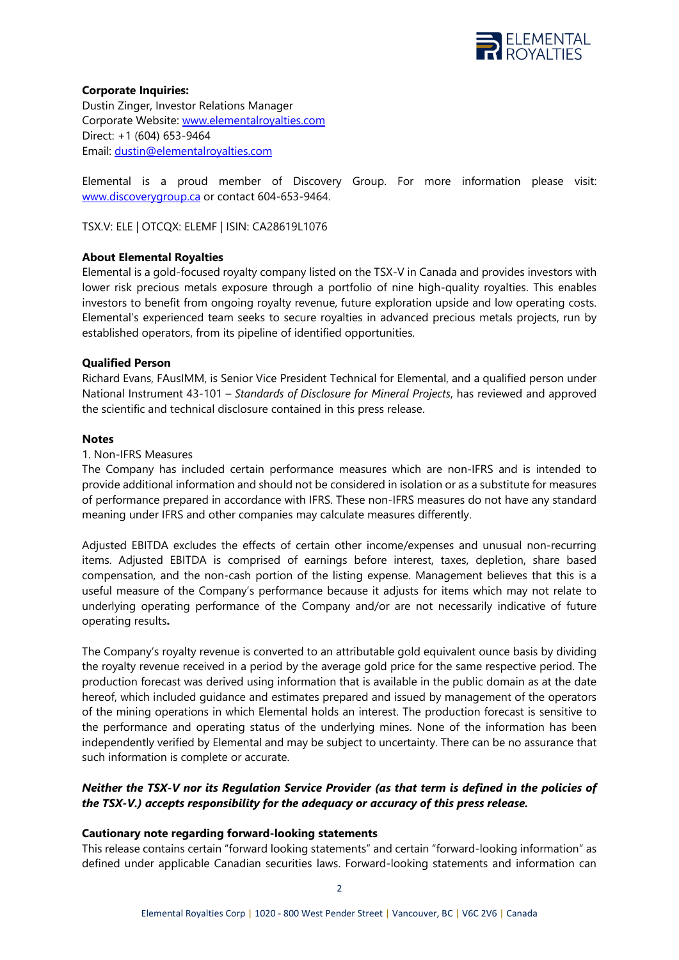

# **Corporate Inquiries:**

Dustin Zinger, Investor Relations Manager Corporate Website: [www.elementalroyalties.com](http://www.elementalroyalties.com/) Direct: +1 (604) 653-9464 Email: [dustin@elementalroyalties.com](mailto:dustin@elementalroyalties.com)

Elemental is a proud member of Discovery Group. For more information please visit: [www.discoverygroup.ca](http://www.discoverygroup.ca/) or contact 604-653-9464.

TSX.V: ELE | OTCQX: ELEMF | ISIN: CA28619L1076

### **About Elemental Royalties**

Elemental is a gold-focused royalty company listed on the TSX-V in Canada and provides investors with lower risk precious metals exposure through a portfolio of nine high-quality royalties. This enables investors to benefit from ongoing royalty revenue, future exploration upside and low operating costs. Elemental's experienced team seeks to secure royalties in advanced precious metals projects, run by established operators, from its pipeline of identified opportunities.

### **Qualified Person**

Richard Evans, FAusIMM, is Senior Vice President Technical for Elemental, and a qualified person under National Instrument 43-101 – *Standards of Disclosure for Mineral Projects*, has reviewed and approved the scientific and technical disclosure contained in this press release.

#### **Notes**

#### 1. Non-IFRS Measures

The Company has included certain performance measures which are non-IFRS and is intended to provide additional information and should not be considered in isolation or as a substitute for measures of performance prepared in accordance with IFRS. These non-IFRS measures do not have any standard meaning under IFRS and other companies may calculate measures differently.

Adjusted EBITDA excludes the effects of certain other income/expenses and unusual non-recurring items. Adjusted EBITDA is comprised of earnings before interest, taxes, depletion, share based compensation, and the non-cash portion of the listing expense. Management believes that this is a useful measure of the Company's performance because it adjusts for items which may not relate to underlying operating performance of the Company and/or are not necessarily indicative of future operating results**.**

The Company's royalty revenue is converted to an attributable gold equivalent ounce basis by dividing the royalty revenue received in a period by the average gold price for the same respective period. The production forecast was derived using information that is available in the public domain as at the date hereof, which included guidance and estimates prepared and issued by management of the operators of the mining operations in which Elemental holds an interest. The production forecast is sensitive to the performance and operating status of the underlying mines. None of the information has been independently verified by Elemental and may be subject to uncertainty. There can be no assurance that such information is complete or accurate.

# *Neither the TSX-V nor its Regulation Service Provider (as that term is defined in the policies of the TSX-V.) accepts responsibility for the adequacy or accuracy of this press release.*

### **Cautionary note regarding forward-looking statements**

This release contains certain "forward looking statements" and certain "forward-looking information" as defined under applicable Canadian securities laws. Forward-looking statements and information can